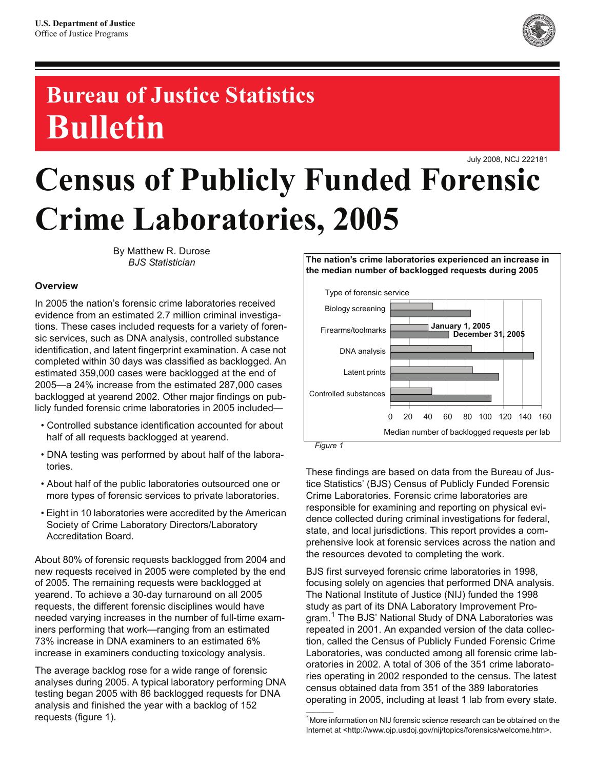

## **Bureau of Justice Statistics Bulletin**

July 2008, NCJ 222181

# **Census of Publicly Funded Forensic Crime Laboratories, 2005**

By Matthew R. Durose *BJS Statistician*

#### **Overview**

In 2005 the nation's forensic crime laboratories received evidence from an estimated 2.7 million criminal investigations. These cases included requests for a variety of forensic services, such as DNA analysis, controlled substance identification, and latent fingerprint examination. A case not completed within 30 days was classified as backlogged. An estimated 359,000 cases were backlogged at the end of 2005—a 24% increase from the estimated 287,000 cases backlogged at yearend 2002. Other major findings on publicly funded forensic crime laboratories in 2005 included—

- Controlled substance identification accounted for about half of all requests backlogged at yearend.
- DNA testing was performed by about half of the laboratories.
- About half of the public laboratories outsourced one or more types of forensic services to private laboratories.
- Eight in 10 laboratories were accredited by the American Society of Crime Laboratory Directors/Laboratory Accreditation Board.

About 80% of forensic requests backlogged from 2004 and new requests received in 2005 were completed by the end of 2005. The remaining requests were backlogged at yearend. To achieve a 30-day turnaround on all 2005 requests, the different forensic disciplines would have needed varying increases in the number of full-time examiners performing that work—ranging from an estimated 73% increase in DNA examiners to an estimated 6% increase in examiners conducting toxicology analysis.

The average backlog rose for a wide range of forensic analyses during 2005. A typical laboratory performing DNA testing began 2005 with 86 backlogged requests for DNA analysis and finished the year with a backlog of 152 requests (figure 1).



These findings are based on data from the Bureau of Justice Statistics' (BJS) Census of Publicly Funded Forensic Crime Laboratories. Forensic crime laboratories are responsible for examining and reporting on physical evidence collected during criminal investigations for federal, state, and local jurisdictions. This report provides a comprehensive look at forensic services across the nation and the resources devoted to completing the work.

BJS first surveyed forensic crime laboratories in 1998, focusing solely on agencies that performed DNA analysis. The National Institute of Justice (NIJ) funded the 1998 study as part of its DNA Laboratory Improvement Program.<sup>1</sup> The BJS' National Study of DNA Laboratories was repeated in 2001. An expanded version of the data collection, called the Census of Publicly Funded Forensic Crime Laboratories, was conducted among all forensic crime laboratories in 2002. A total of 306 of the 351 crime laboratories operating in 2002 responded to the census. The latest census obtained data from 351 of the 389 laboratories operating in 2005, including at least 1 lab from every state.

 $\mathcal{L}_\text{max}$ 

<sup>&</sup>lt;sup>1</sup>More information on NIJ forensic science research can be obtained on the Internet at <http://www.ojp.usdoj.gov/nij/topics/forensics/welcome.htm>.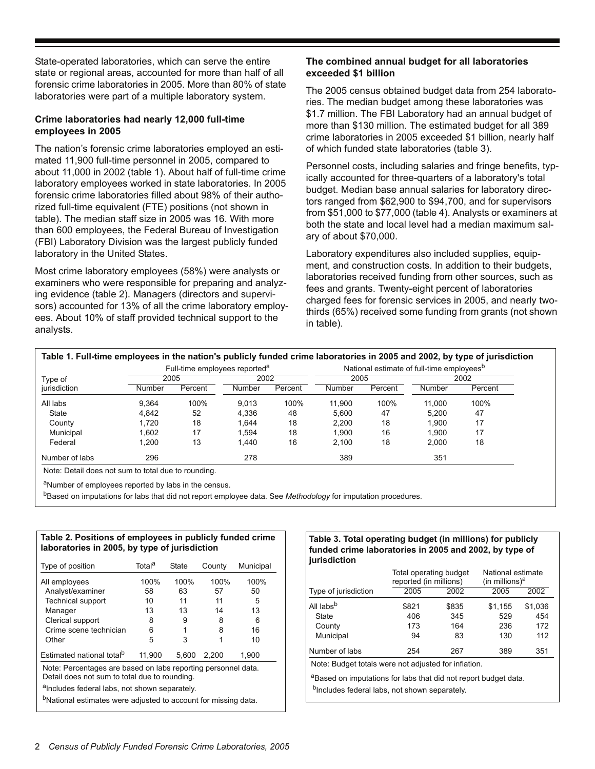State-operated laboratories, which can serve the entire state or regional areas, accounted for more than half of all forensic crime laboratories in 2005. More than 80% of state laboratories were part of a multiple laboratory system.

#### **Crime laboratories had nearly 12,000 full-time employees in 2005**

The nation's forensic crime laboratories employed an estimated 11,900 full-time personnel in 2005, compared to about 11,000 in 2002 (table 1). About half of full-time crime laboratory employees worked in state laboratories. In 2005 forensic crime laboratories filled about 98% of their authorized full-time equivalent (FTE) positions (not shown in table). The median staff size in 2005 was 16. With more than 600 employees, the Federal Bureau of Investigation (FBI) Laboratory Division was the largest publicly funded laboratory in the United States.

Most crime laboratory employees (58%) were analysts or examiners who were responsible for preparing and analyzing evidence (table 2). Managers (directors and supervisors) accounted for 13% of all the crime laboratory employees. About 10% of staff provided technical support to the analysts.

#### **The combined annual budget for all laboratories exceeded \$1 billion**

The 2005 census obtained budget data from 254 laboratories. The median budget among these laboratories was \$1.7 million. The FBI Laboratory had an annual budget of more than \$130 million. The estimated budget for all 389 crime laboratories in 2005 exceeded \$1 billion, nearly half of which funded state laboratories (table 3).

Personnel costs, including salaries and fringe benefits, typically accounted for three-quarters of a laboratory's total budget. Median base annual salaries for laboratory directors ranged from \$62,900 to \$94,700, and for supervisors from \$51,000 to \$77,000 (table 4). Analysts or examiners at both the state and local level had a median maximum salary of about \$70,000.

Laboratory expenditures also included supplies, equipment, and construction costs. In addition to their budgets, laboratories received funding from other sources, such as fees and grants. Twenty-eight percent of laboratories charged fees for forensic services in 2005, and nearly twothirds (65%) received some funding from grants (not shown in table).

|                |        | Full-time employees reported <sup>a</sup> |        |         | Table 1. Full-time employees in the nation's publicly funded crime laboratories in 2005 and 2002, by type of jurisdiction<br>National estimate of full-time employees <sup>b</sup> |         |        |         |
|----------------|--------|-------------------------------------------|--------|---------|------------------------------------------------------------------------------------------------------------------------------------------------------------------------------------|---------|--------|---------|
| Type of        |        | 2005                                      | 2002   |         | 2005                                                                                                                                                                               |         | 2002   |         |
| jurisdiction   | Number | Percent                                   | Number | Percent | Number                                                                                                                                                                             | Percent | Number | Percent |
| All labs       | 9.364  | 100%                                      | 9.013  | 100%    | 11.900                                                                                                                                                                             | 100%    | 11.000 | 100%    |
| State          | 4.842  | 52                                        | 4.336  | 48      | 5.600                                                                                                                                                                              | 47      | 5.200  | 47      |
| County         | 1.720  | 18                                        | 1.644  | 18      | 2.200                                                                                                                                                                              | 18      | 1.900  | 17      |
| Municipal      | 1.602  | 17                                        | 1.594  | 18      | 1.900                                                                                                                                                                              | 16      | 1.900  | 17      |
| Federal        | 1.200  | 13                                        | 1.440  | 16      | 2.100                                                                                                                                                                              | 18      | 2.000  | 18      |
| Number of labs | 296    |                                           | 278    |         | 389                                                                                                                                                                                |         | 351    |         |

aNumber of employees reported by labs in the census.

bBased on imputations for labs that did not report employee data. See *Methodology* for imputation procedures.

#### **Table 2. Positions of employees in publicly funded crime laboratories in 2005, by type of jurisdiction**

| Type of position                                                                                               | Total <sup>a</sup>                                                         | State | County | Municipal |  |  |  |  |
|----------------------------------------------------------------------------------------------------------------|----------------------------------------------------------------------------|-------|--------|-----------|--|--|--|--|
| All employees                                                                                                  | 100%                                                                       | 100%  | 100%   | 100%      |  |  |  |  |
| Analyst/examiner                                                                                               | 58                                                                         | 63    | 57     | 50        |  |  |  |  |
| <b>Technical support</b>                                                                                       | 10                                                                         | 11    | 11     | 5         |  |  |  |  |
| Manager                                                                                                        | 13                                                                         | 13    | 14     | 13        |  |  |  |  |
| Clerical support                                                                                               | 8                                                                          | 9     | 8      | 6         |  |  |  |  |
| Crime scene technician                                                                                         | 6                                                                          |       | 8      | 16        |  |  |  |  |
| Other                                                                                                          | 5                                                                          | 3     | 1      | 10        |  |  |  |  |
| Estimated national total <sup>b</sup>                                                                          | 11.900                                                                     | 5.600 | 2.200  | 1.900     |  |  |  |  |
| Note: Percentages are based on labs reporting personnel data.<br>Detail does not sum to total due to rounding. |                                                                            |       |        |           |  |  |  |  |
| alncludes federal labs, not shown separately.                                                                  |                                                                            |       |        |           |  |  |  |  |
|                                                                                                                | <sup>b</sup> National estimates were adjusted to account for missing data. |       |        |           |  |  |  |  |

#### **Table 3. Total operating budget (in millions) for publicly funded crime laboratories in 2005 and 2002, by type of jurisdiction**

|                       | Total operating budget<br>reported (in millions) |       | National estimate<br>(in millions) $a$ |         |
|-----------------------|--------------------------------------------------|-------|----------------------------------------|---------|
| Type of jurisdiction  | 2005                                             | 2002  | 2005                                   | 2002    |
| All labs <sup>b</sup> | \$821                                            | \$835 | \$1,155                                | \$1,036 |
| State                 | 406                                              | 345   | 529                                    | 454     |
| County                | 173                                              | 164   | 236                                    | 172     |
| Municipal             | 94                                               | 83    | 130                                    | 112     |
| Number of labs        | 254                                              | 267   | 389                                    | 351     |

Note: Budget totals were not adjusted for inflation.

aBased on imputations for labs that did not report budget data. b<sub>Includes</sub> federal labs, not shown separately.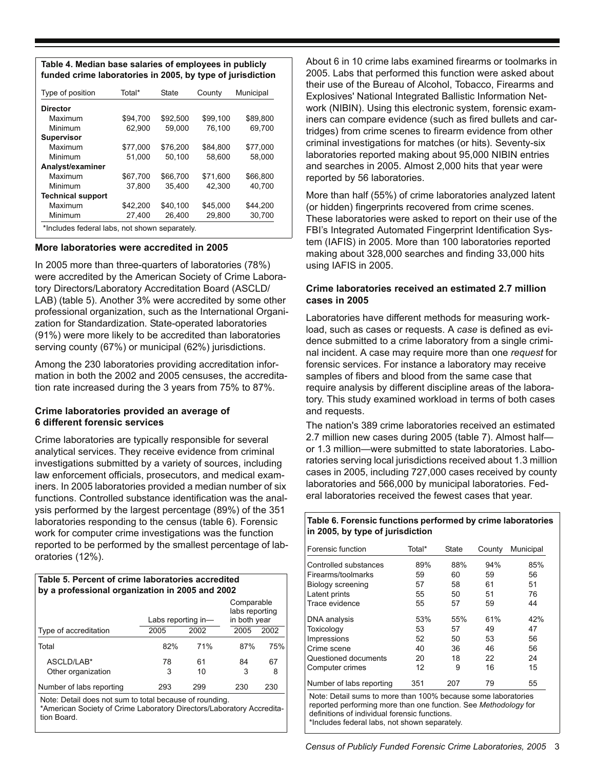#### **Table 4. Median base salaries of employees in publicly funded crime laboratories in 2005, by type of jurisdiction**

| Municipal          |
|--------------------|
|                    |
| \$89,800           |
| 69.700             |
|                    |
| \$77.000           |
| 58,000             |
|                    |
| \$66,800           |
| 40.700             |
|                    |
| \$44.200           |
| 30,700             |
| \$45.000<br>29.800 |
|                    |

#### **More laboratories were accredited in 2005**

In 2005 more than three-quarters of laboratories (78%) were accredited by the American Society of Crime Laboratory Directors/Laboratory Accreditation Board (ASCLD/ LAB) (table 5). Another 3% were accredited by some other professional organization, such as the International Organization for Standardization. State-operated laboratories (91%) were more likely to be accredited than laboratories serving county (67%) or municipal (62%) jurisdictions.

Among the 230 laboratories providing accreditation information in both the 2002 and 2005 censuses, the accreditation rate increased during the 3 years from 75% to 87%.

#### **Crime laboratories provided an average of 6 different forensic services**

Crime laboratories are typically responsible for several analytical services. They receive evidence from criminal investigations submitted by a variety of sources, including law enforcement officials, prosecutors, and medical examiners. In 2005 laboratories provided a median number of six functions. Controlled substance identification was the analysis performed by the largest percentage (89%) of the 351 laboratories responding to the census (table 6). Forensic work for computer crime investigations was the function reported to be performed by the smallest percentage of laboratories (12%).

| Table 5. Percent of crime laboratories accredited<br>by a professional organization in 2005 and 2002 |                    |          |                                              |         |  |  |  |  |
|------------------------------------------------------------------------------------------------------|--------------------|----------|----------------------------------------------|---------|--|--|--|--|
|                                                                                                      | Labs reporting in- |          | Comparable<br>labs reporting<br>in both year |         |  |  |  |  |
| Type of accreditation                                                                                | 2005               | 2002     | 2005                                         | 2002    |  |  |  |  |
| Total                                                                                                | 82%                | 71%      | 87%                                          | 75%     |  |  |  |  |
| ASCLD/LAB*<br>Other organization                                                                     | 78<br>3            | 61<br>10 | 84<br>3                                      | 67<br>8 |  |  |  |  |
| Number of labs reporting                                                                             | 293                | 299      | 230                                          | 230     |  |  |  |  |

Note: Detail does not sum to total because of rounding.

\*American Society of Crime Laboratory Directors/Laboratory Accreditation Board.

About 6 in 10 crime labs examined firearms or toolmarks in 2005. Labs that performed this function were asked about their use of the Bureau of Alcohol, Tobacco, Firearms and Explosives' National Integrated Ballistic Information Network (NIBIN). Using this electronic system, forensic examiners can compare evidence (such as fired bullets and cartridges) from crime scenes to firearm evidence from other criminal investigations for matches (or hits). Seventy-six laboratories reported making about 95,000 NIBIN entries and searches in 2005. Almost 2,000 hits that year were reported by 56 laboratories.

More than half (55%) of crime laboratories analyzed latent (or hidden) fingerprints recovered from crime scenes. These laboratories were asked to report on their use of the FBI's Integrated Automated Fingerprint Identification System (IAFIS) in 2005. More than 100 laboratories reported making about 328,000 searches and finding 33,000 hits using IAFIS in 2005.

#### **Crime laboratories received an estimated 2.7 million cases in 2005**

Laboratories have different methods for measuring workload, such as cases or requests. A *case* is defined as evidence submitted to a crime laboratory from a single criminal incident. A case may require more than one *request* for forensic services. For instance a laboratory may receive samples of fibers and blood from the same case that require analysis by different discipline areas of the laboratory. This study examined workload in terms of both cases and requests.

The nation's 389 crime laboratories received an estimated 2.7 million new cases during 2005 (table 7). Almost half or 1.3 million—were submitted to state laboratories. Laboratories serving local jurisdictions received about 1.3 million cases in 2005, including 727,000 cases received by county laboratories and 566,000 by municipal laboratories. Federal laboratories received the fewest cases that year.

#### **Table 6. Forensic functions performed by crime laboratories in 2005, by type of jurisdiction**

| Forensic function                                             | Total* | State | County | Municipal |  |  |  |
|---------------------------------------------------------------|--------|-------|--------|-----------|--|--|--|
| Controlled substances                                         | 89%    | 88%   | 94%    | 85%       |  |  |  |
| Firearms/toolmarks                                            | 59     | 60    | 59     | 56        |  |  |  |
| Biology screening                                             | 57     | 58    | 61     | 51        |  |  |  |
| Latent prints                                                 | 55     | 50    | 51     | 76        |  |  |  |
| Trace evidence                                                | 55     | 57    | 59     | 44        |  |  |  |
| DNA analysis                                                  | 53%    | 55%   | 61%    | 42%       |  |  |  |
| Toxicology                                                    | 53     | 57    | 49     | 47        |  |  |  |
| Impressions                                                   | 52     | 50    | 53     | 56        |  |  |  |
| Crime scene                                                   | 40     | 36    | 46     | 56        |  |  |  |
| Questioned documents                                          | 20     | 18    | 22     | 24        |  |  |  |
| Computer crimes                                               | 12     | 9     | 16     | 15        |  |  |  |
| Number of labs reporting                                      | 351    | 207   | 79     | 55        |  |  |  |
| Note: Detail sums to more than 100% because some laboratories |        |       |        |           |  |  |  |

reported performing more than one function. See *Methodology* for definitions of individual forensic functions. \*Includes federal labs, not shown separately.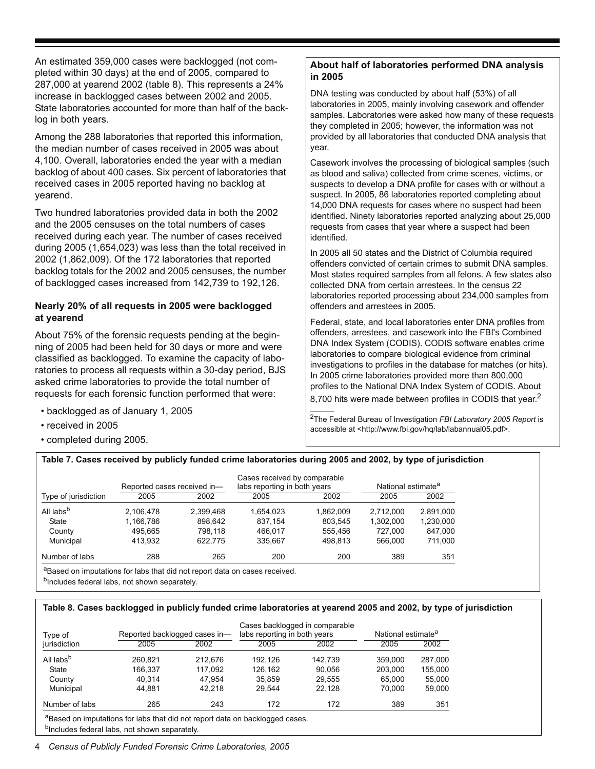An estimated 359,000 cases were backlogged (not completed within 30 days) at the end of 2005, compared to 287,000 at yearend 2002 (table 8). This represents a 24% increase in backlogged cases between 2002 and 2005. State laboratories accounted for more than half of the backlog in both years.

Among the 288 laboratories that reported this information, the median number of cases received in 2005 was about 4,100. Overall, laboratories ended the year with a median backlog of about 400 cases. Six percent of laboratories that received cases in 2005 reported having no backlog at yearend.

Two hundred laboratories provided data in both the 2002 and the 2005 censuses on the total numbers of cases received during each year. The number of cases received during 2005 (1,654,023) was less than the total received in 2002 (1,862,009). Of the 172 laboratories that reported backlog totals for the 2002 and 2005 censuses, the number of backlogged cases increased from 142,739 to 192,126.

#### **Nearly 20% of all requests in 2005 were backlogged at yearend**

About 75% of the forensic requests pending at the beginning of 2005 had been held for 30 days or more and were classified as backlogged. To examine the capacity of laboratories to process all requests within a 30-day period, BJS asked crime laboratories to provide the total number of requests for each forensic function performed that were:

- backlogged as of January 1, 2005
- received in 2005
- completed during 2005.

### **About half of laboratories performed DNA analysis in 2005**

DNA testing was conducted by about half (53%) of all laboratories in 2005, mainly involving casework and offender samples. Laboratories were asked how many of these requests they completed in 2005; however, the information was not provided by all laboratories that conducted DNA analysis that year.

Casework involves the processing of biological samples (such as blood and saliva) collected from crime scenes, victims, or suspects to develop a DNA profile for cases with or without a suspect. In 2005, 86 laboratories reported completing about 14,000 DNA requests for cases where no suspect had been identified. Ninety laboratories reported analyzing about 25,000 requests from cases that year where a suspect had been identified.

In 2005 all 50 states and the District of Columbia required offenders convicted of certain crimes to submit DNA samples. Most states required samples from all felons. A few states also collected DNA from certain arrestees. In the census 22 laboratories reported processing about 234,000 samples from offenders and arrestees in 2005.

Federal, state, and local laboratories enter DNA profiles from offenders, arrestees, and casework into the FBI's Combined DNA Index System (CODIS). CODIS software enables crime laboratories to compare biological evidence from criminal investigations to profiles in the database for matches (or hits). In 2005 crime laboratories provided more than 800,000 profiles to the National DNA Index System of CODIS. About

8,700 hits were made between profiles in CODIS that year.<sup>2</sup>

2The Federal Bureau of Investigation *FBI Laboratory 2005 Report* is accessible at <http://www.fbi.gov/hq/lab/labannual05.pdf>.

#### **Table 7. Cases received by publicly funded crime laboratories during 2005 and 2002, by type of jurisdiction**

|                                                                                        | Reported cases received in- |           | Cases received by comparable<br>labs reporting in both years |           | National estimate <sup>a</sup> |           |
|----------------------------------------------------------------------------------------|-----------------------------|-----------|--------------------------------------------------------------|-----------|--------------------------------|-----------|
| Type of jurisdiction                                                                   | 2005                        | 2002      | 2005                                                         | 2002      | 2005                           | 2002      |
| All labs <sup>b</sup>                                                                  | 2,106,478                   | 2.399.468 | 1,654,023                                                    | 1.862.009 | 2.712.000                      | 2,891,000 |
| State                                                                                  | 1,166,786                   | 898,642   | 837.154                                                      | 803,545   | 1,302,000                      | 1,230,000 |
| County                                                                                 | 495.665                     | 798.118   | 466.017                                                      | 555.456   | 727.000                        | 847,000   |
| Municipal                                                                              | 413.932                     | 622.775   | 335.667                                                      | 498.813   | 566,000                        | 711,000   |
| Number of labs                                                                         | 288                         | 265       | 200                                                          | 200       | 389                            | 351       |
| <sup>a</sup> Based on imputations for labs that did not report data on cases received. |                             |           |                                                              |           |                                |           |

<sup>b</sup>Includes federal labs, not shown separately.

#### **Table 8. Cases backlogged in publicly funded crime laboratories at yearend 2005 and 2002, by type of jurisdiction**

|         |         |                               |         | National estimate <sup>a</sup>                                 |         |
|---------|---------|-------------------------------|---------|----------------------------------------------------------------|---------|
| 2005    | 2002    | 2005                          | 2002    | 2005                                                           | 2002    |
| 260.821 | 212.676 | 192.126                       | 142.739 | 359,000                                                        | 287,000 |
| 166.337 | 117.092 | 126.162                       | 90.056  | 203.000                                                        | 155.000 |
| 40.314  | 47.954  | 35.859                        | 29.555  | 65.000                                                         | 55,000  |
| 44.881  | 42.218  | 29.544                        | 22.128  | 70.000                                                         | 59,000  |
| 265     | 243     | 172                           | 172     | 389                                                            | 351     |
|         |         | Reported backlogged cases in- |         | Cases backlogged in comparable<br>labs reporting in both years |         |

aBased on imputations for labs that did not report data on backlogged cases. bIncludes federal labs, not shown separately.

4 *Census of Publicly Funded Forensic Crime Laboratories, 2005*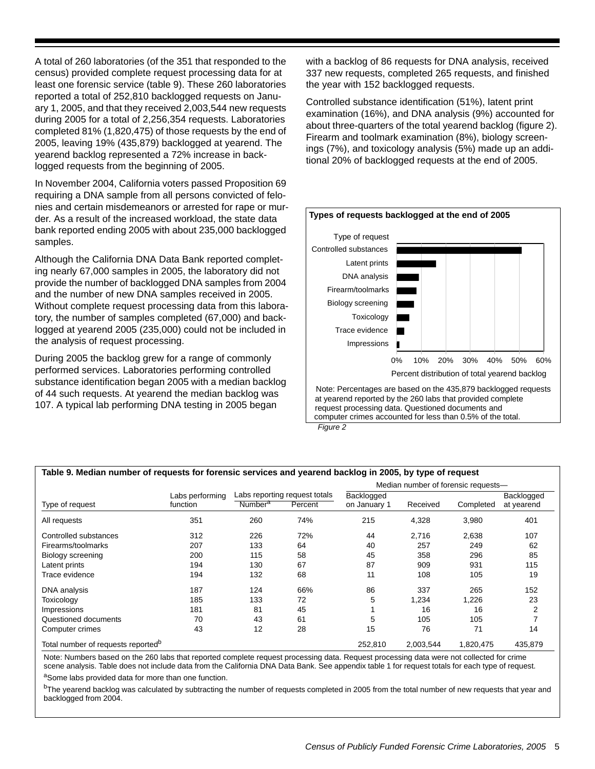A total of 260 laboratories (of the 351 that responded to the census) provided complete request processing data for at least one forensic service (table 9). These 260 laboratories reported a total of 252,810 backlogged requests on January 1, 2005, and that they received 2,003,544 new requests during 2005 for a total of 2,256,354 requests. Laboratories completed 81% (1,820,475) of those requests by the end of 2005, leaving 19% (435,879) backlogged at yearend. The yearend backlog represented a 72% increase in backlogged requests from the beginning of 2005.

In November 2004, California voters passed Proposition 69 requiring a DNA sample from all persons convicted of felonies and certain misdemeanors or arrested for rape or murder. As a result of the increased workload, the state data bank reported ending 2005 with about 235,000 backlogged samples.

Although the California DNA Data Bank reported completing nearly 67,000 samples in 2005, the laboratory did not provide the number of backlogged DNA samples from 2004 and the number of new DNA samples received in 2005. Without complete request processing data from this laboratory, the number of samples completed (67,000) and backlogged at yearend 2005 (235,000) could not be included in the analysis of request processing.

During 2005 the backlog grew for a range of commonly performed services. Laboratories performing controlled substance identification began 2005 with a median backlog of 44 such requests. At yearend the median backlog was 107. A typical lab performing DNA testing in 2005 began

with a backlog of 86 requests for DNA analysis, received 337 new requests, completed 265 requests, and finished the year with 152 backlogged requests.

Controlled substance identification (51%), latent print examination (16%), and DNA analysis (9%) accounted for about three-quarters of the total yearend backlog (figure 2). Firearm and toolmark examination (8%), biology screenings (7%), and toxicology analysis (5%) made up an additional 20% of backlogged requests at the end of 2005.



*Figure 2*

| Table 9. Median number of requests for forensic services and yearend backlog in 2005, by type of request |                 |                     |                               |              |           |                                     |            |  |
|----------------------------------------------------------------------------------------------------------|-----------------|---------------------|-------------------------------|--------------|-----------|-------------------------------------|------------|--|
|                                                                                                          |                 |                     |                               |              |           | Median number of forensic requests- |            |  |
|                                                                                                          | Labs performing |                     | Labs reporting request totals | Backlogged   |           |                                     | Backlogged |  |
| Type of request                                                                                          | function        | Number <sup>a</sup> | Percent                       | on January 1 | Received  | Completed                           | at yearend |  |
| All requests                                                                                             | 351             | 260                 | 74%                           | 215          | 4,328     | 3,980                               | 401        |  |
| Controlled substances                                                                                    | 312             | 226                 | 72%                           | 44           | 2,716     | 2,638                               | 107        |  |
| Firearms/toolmarks                                                                                       | 207             | 133                 | 64                            | 40           | 257       | 249                                 | 62         |  |
| Biology screening                                                                                        | 200             | 115                 | 58                            | 45           | 358       | 296                                 | 85         |  |
| Latent prints                                                                                            | 194             | 130                 | 67                            | 87           | 909       | 931                                 | 115        |  |
| Trace evidence                                                                                           | 194             | 132                 | 68                            | 11           | 108       | 105                                 | 19         |  |
| DNA analysis                                                                                             | 187             | 124                 | 66%                           | 86           | 337       | 265                                 | 152        |  |
| Toxicology                                                                                               | 185             | 133                 | 72                            | 5            | 1,234     | 1,226                               | 23         |  |
| Impressions                                                                                              | 181             | 81                  | 45                            |              | 16        | 16                                  | 2          |  |
| Questioned documents                                                                                     | 70              | 43                  | 61                            | 5            | 105       | 105                                 |            |  |
| Computer crimes                                                                                          | 43              | 12                  | 28                            | 15           | 76        | 71                                  | 14         |  |
| Total number of requests reported <sup>p</sup>                                                           |                 |                     |                               | 252.810      | 2.003.544 | 1.820.475                           | 435,879    |  |

Note: Numbers based on the 260 labs that reported complete request processing data. Request processing data were not collected for crime scene analysis. Table does not include data from the California DNA Data Bank. See appendix table 1 for request totals for each type of request.

aSome labs provided data for more than one function.

<sup>b</sup>The yearend backlog was calculated by subtracting the number of requests completed in 2005 from the total number of new requests that year and backlogged from 2004.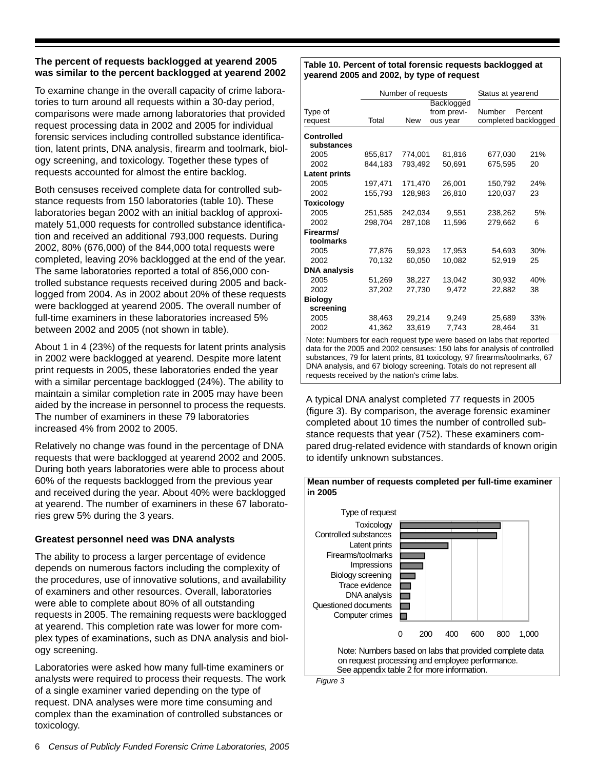#### **The percent of requests backlogged at yearend 2005 was similar to the percent backlogged at yearend 2002**

To examine change in the overall capacity of crime laboratories to turn around all requests within a 30-day period, comparisons were made among laboratories that provided request processing data in 2002 and 2005 for individual forensic services including controlled substance identification, latent prints, DNA analysis, firearm and toolmark, biology screening, and toxicology. Together these types of requests accounted for almost the entire backlog.

Both censuses received complete data for controlled substance requests from 150 laboratories (table 10). These laboratories began 2002 with an initial backlog of approximately 51,000 requests for controlled substance identification and received an additional 793,000 requests. During 2002, 80% (676,000) of the 844,000 total requests were completed, leaving 20% backlogged at the end of the year. The same laboratories reported a total of 856,000 controlled substance requests received during 2005 and backlogged from 2004. As in 2002 about 20% of these requests were backlogged at yearend 2005. The overall number of full-time examiners in these laboratories increased 5% between 2002 and 2005 (not shown in table).

About 1 in 4 (23%) of the requests for latent prints analysis in 2002 were backlogged at yearend. Despite more latent print requests in 2005, these laboratories ended the year with a similar percentage backlogged (24%). The ability to maintain a similar completion rate in 2005 may have been aided by the increase in personnel to process the requests. The number of examiners in these 79 laboratories increased 4% from 2002 to 2005.

Relatively no change was found in the percentage of DNA requests that were backlogged at yearend 2002 and 2005. During both years laboratories were able to process about 60% of the requests backlogged from the previous year and received during the year. About 40% were backlogged at yearend. The number of examiners in these 67 laboratories grew 5% during the 3 years.

### **Greatest personnel need was DNA analysts**

The ability to process a larger percentage of evidence depends on numerous factors including the complexity of the procedures, use of innovative solutions, and availability of examiners and other resources. Overall, laboratories were able to complete about 80% of all outstanding requests in 2005. The remaining requests were backlogged at yearend. This completion rate was lower for more complex types of examinations, such as DNA analysis and biology screening.

Laboratories were asked how many full-time examiners or analysts were required to process their requests. The work of a single examiner varied depending on the type of request. DNA analyses were more time consuming and complex than the examination of controlled substances or toxicology.

#### **Table 10. Percent of total forensic requests backlogged at yearend 2005 and 2002, by type of request**

|                      | Number of requests |            |             | Status at yearend |                      |
|----------------------|--------------------|------------|-------------|-------------------|----------------------|
|                      |                    | Backlogged |             |                   |                      |
| Type of              |                    |            | from previ- | Number            | Percent              |
| request              | Total              | New        | ous year    |                   | completed backlogged |
| <b>Controlled</b>    |                    |            |             |                   |                      |
| substances           |                    |            |             |                   |                      |
| 2005                 | 855,817            | 774,001    | 81,816      | 677,030           | 21%                  |
| 2002                 | 844,183            | 793,492    | 50,691      | 675,595           | 20                   |
| <b>Latent prints</b> |                    |            |             |                   |                      |
| 2005                 | 197,471            | 171,470    | 26,001      | 150,792           | 24%                  |
| 2002                 | 155,793            | 128,983    | 26,810      | 120,037           | 23                   |
| <b>Toxicology</b>    |                    |            |             |                   |                      |
| 2005                 | 251,585            | 242,034    | 9,551       | 238,262           | 5%                   |
| 2002                 | 298,704            | 287,108    | 11,596      | 279,662           | 6                    |
| Firearms/            |                    |            |             |                   |                      |
| toolmarks            |                    |            |             |                   |                      |
| 2005                 | 77,876             | 59,923     | 17,953      | 54,693            | 30%                  |
| 2002                 | 70,132             | 60,050     | 10,082      | 52,919            | 25                   |
| <b>DNA analysis</b>  |                    |            |             |                   |                      |
| 2005                 | 51,269             | 38,227     | 13,042      | 30,932            | 40%                  |
| 2002                 | 37,202             | 27,730     | 9,472       | 22,882            | 38                   |
| <b>Biology</b>       |                    |            |             |                   |                      |
| screening            |                    |            |             |                   |                      |
| 2005                 | 38,463             | 29,214     | 9,249       | 25,689            | 33%                  |
| 2002                 | 41,362             | 33,619     | 7,743       | 28,464            | 31                   |

Note: Numbers for each request type were based on labs that reported data for the 2005 and 2002 censuses: 150 labs for analysis of controlled substances, 79 for latent prints, 81 toxicology, 97 firearms/toolmarks, 67 DNA analysis, and 67 biology screening. Totals do not represent all requests received by the nation's crime labs.

A typical DNA analyst completed 77 requests in 2005 (figure 3). By comparison, the average forensic examiner completed about 10 times the number of controlled substance requests that year (752). These examiners compared drug-related evidence with standards of known origin to identify unknown substances.



*Figure 3*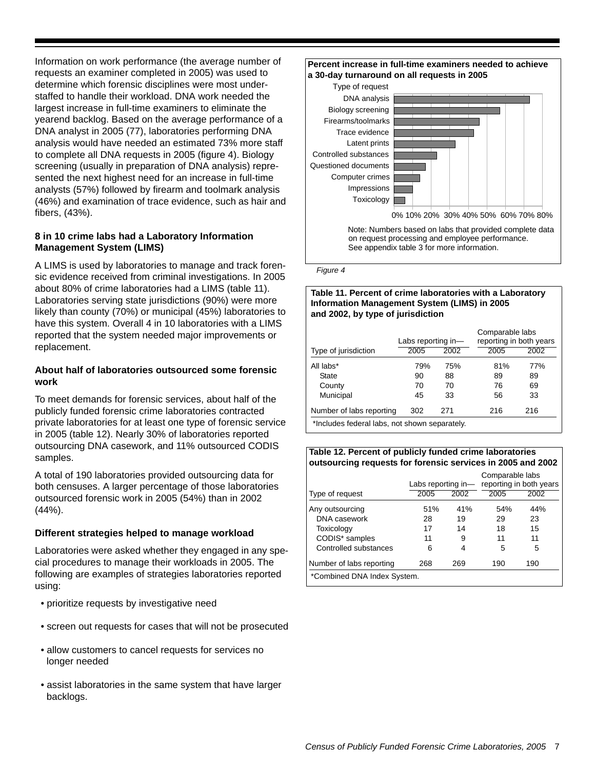Information on work performance (the average number of requests an examiner completed in 2005) was used to determine which forensic disciplines were most understaffed to handle their workload. DNA work needed the largest increase in full-time examiners to eliminate the yearend backlog. Based on the average performance of a DNA analyst in 2005 (77), laboratories performing DNA analysis would have needed an estimated 73% more staff to complete all DNA requests in 2005 (figure 4). Biology screening (usually in preparation of DNA analysis) represented the next highest need for an increase in full-time analysts (57%) followed by firearm and toolmark analysis (46%) and examination of trace evidence, such as hair and fibers, (43%).

### **8 in 10 crime labs had a Laboratory Information Management System (LIMS)**

A LIMS is used by laboratories to manage and track forensic evidence received from criminal investigations. In 2005 about 80% of crime laboratories had a LIMS (table 11). Laboratories serving state jurisdictions (90%) were more likely than county (70%) or municipal (45%) laboratories to have this system. Overall 4 in 10 laboratories with a LIMS reported that the system needed major improvements or replacement.

#### **About half of laboratories outsourced some forensic work**

To meet demands for forensic services, about half of the publicly funded forensic crime laboratories contracted private laboratories for at least one type of forensic service in 2005 (table 12). Nearly 30% of laboratories reported outsourcing DNA casework, and 11% outsourced CODIS samples.

A total of 190 laboratories provided outsourcing data for both censuses. A larger percentage of those laboratories outsourced forensic work in 2005 (54%) than in 2002 (44%).

### **Different strategies helped to manage workload**

Laboratories were asked whether they engaged in any special procedures to manage their workloads in 2005. The following are examples of strategies laboratories reported using:

- prioritize requests by investigative need
- screen out requests for cases that will not be prosecuted
- allow customers to cancel requests for services no longer needed
- assist laboratories in the same system that have larger backlogs.



*Figure 4* 

#### **Table 11. Percent of crime laboratories with a Laboratory Information Management System (LIMS) in 2005 and 2002, by type of jurisdiction**

|                                               | Labs reporting in- |      | Comparable labs<br>reporting in both years |      |  |  |  |
|-----------------------------------------------|--------------------|------|--------------------------------------------|------|--|--|--|
| Type of jurisdiction                          | 2005               | 2002 | 2005                                       | 2002 |  |  |  |
| All labs*                                     | 79%                | 75%  | 81%                                        | 77%  |  |  |  |
| State                                         | 90                 | 88   | 89                                         | 89   |  |  |  |
| County                                        | 70                 | 70   | 76                                         | 69   |  |  |  |
| Municipal                                     | 45                 | 33   | 56                                         | 33   |  |  |  |
| Number of labs reporting                      | 302                | 271  | 216                                        | 216  |  |  |  |
| *Includes federal labs, not shown separately. |                    |      |                                            |      |  |  |  |

#### **Table 12. Percent of publicly funded crime laboratories outsourcing requests for forensic services in 2005 and 2002**

|                             | Labs reporting in- |      | Comparable labs | reporting in both years |  |  |  |
|-----------------------------|--------------------|------|-----------------|-------------------------|--|--|--|
| Type of request             | 2005               | 2002 | 2005            | 2002                    |  |  |  |
| Any outsourcing             | 51%                | 41%  | 54%             | 44%                     |  |  |  |
| DNA casework                | 28                 | 19   | 29              | 23                      |  |  |  |
| Toxicology                  | 17                 | 14   | 18              | 15                      |  |  |  |
| CODIS* samples              | 11                 | 9    | 11              | 11                      |  |  |  |
| Controlled substances       | 6                  | 4    | 5               | 5                       |  |  |  |
| Number of labs reporting    | 268                | 269  | 190             | 190                     |  |  |  |
| *Combined DNA Index System. |                    |      |                 |                         |  |  |  |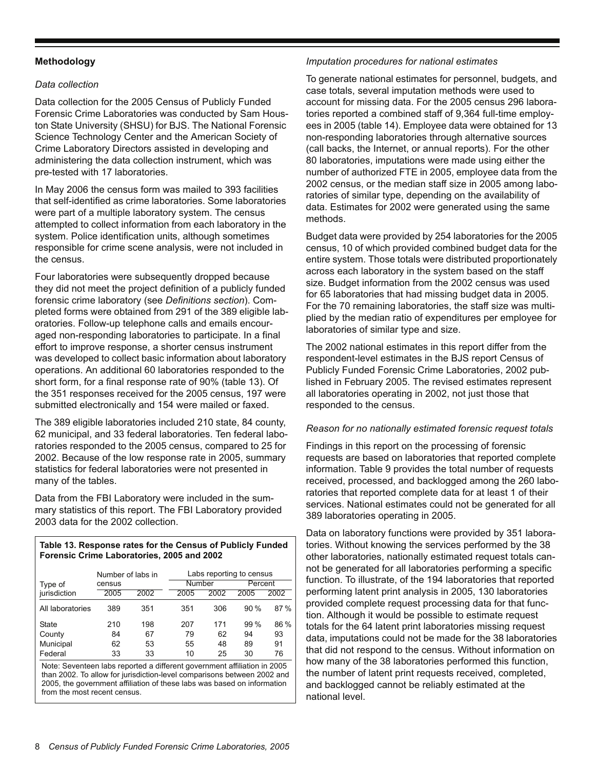#### **Methodology**

#### *Data collection*

Data collection for the 2005 Census of Publicly Funded Forensic Crime Laboratories was conducted by Sam Houston State University (SHSU) for BJS. The National Forensic Science Technology Center and the American Society of Crime Laboratory Directors assisted in developing and administering the data collection instrument, which was pre-tested with 17 laboratories.

In May 2006 the census form was mailed to 393 facilities that self-identified as crime laboratories. Some laboratories were part of a multiple laboratory system. The census attempted to collect information from each laboratory in the system. Police identification units, although sometimes responsible for crime scene analysis, were not included in the census.

Four laboratories were subsequently dropped because they did not meet the project definition of a publicly funded forensic crime laboratory (see *Definitions section*). Completed forms were obtained from 291 of the 389 eligible laboratories. Follow-up telephone calls and emails encouraged non-responding laboratories to participate. In a final effort to improve response, a shorter census instrument was developed to collect basic information about laboratory operations. An additional 60 laboratories responded to the short form, for a final response rate of 90% (table 13). Of the 351 responses received for the 2005 census, 197 were submitted electronically and 154 were mailed or faxed.

The 389 eligible laboratories included 210 state, 84 county, 62 municipal, and 33 federal laboratories. Ten federal laboratories responded to the 2005 census, compared to 25 for 2002. Because of the low response rate in 2005, summary statistics for federal laboratories were not presented in many of the tables.

Data from the FBI Laboratory were included in the summary statistics of this report. The FBI Laboratory provided 2003 data for the 2002 collection.

#### **Table 13. Response rates for the Census of Publicly Funded Forensic Crime Laboratories, 2005 and 2002**

|                  | Number of labs in |      | Labs reporting to census |      |         |      |  |
|------------------|-------------------|------|--------------------------|------|---------|------|--|
| Type of          | census            |      | Number                   |      | Percent |      |  |
| jurisdiction     | 2005              | 2002 | 2005                     | 2002 | 2005    | 2002 |  |
| All laboratories | 389               | 351  | 351                      | 306  | 90%     | 87%  |  |
| <b>State</b>     | 210               | 198  | 207                      | 171  | 99%     | 86 % |  |
| County           | 84                | 67   | 79                       | 62   | 94      | 93   |  |
| Municipal        | 62                | 53   | 55                       | 48   | 89      | 91   |  |
| Federal          | 33                | 33   | 10                       | 25   | 30      | 76   |  |

Note: Seventeen labs reported a different government affiliation in 2005 than 2002. To allow for jurisdiction-level comparisons between 2002 and 2005, the government affiliation of these labs was based on information from the most recent census.

#### *Imputation procedures for national estimates*

To generate national estimates for personnel, budgets, and case totals, several imputation methods were used to account for missing data. For the 2005 census 296 laboratories reported a combined staff of 9,364 full-time employees in 2005 (table 14). Employee data were obtained for 13 non-responding laboratories through alternative sources (call backs, the Internet, or annual reports). For the other 80 laboratories, imputations were made using either the number of authorized FTE in 2005, employee data from the 2002 census, or the median staff size in 2005 among laboratories of similar type, depending on the availability of data. Estimates for 2002 were generated using the same methods.

Budget data were provided by 254 laboratories for the 2005 census, 10 of which provided combined budget data for the entire system. Those totals were distributed proportionately across each laboratory in the system based on the staff size. Budget information from the 2002 census was used for 65 laboratories that had missing budget data in 2005. For the 70 remaining laboratories, the staff size was multiplied by the median ratio of expenditures per employee for laboratories of similar type and size.

The 2002 national estimates in this report differ from the respondent-level estimates in the BJS report Census of Publicly Funded Forensic Crime Laboratories, 2002 published in February 2005. The revised estimates represent all laboratories operating in 2002, not just those that responded to the census.

#### *Reason for no nationally estimated forensic request totals*

Findings in this report on the processing of forensic requests are based on laboratories that reported complete information. Table 9 provides the total number of requests received, processed, and backlogged among the 260 laboratories that reported complete data for at least 1 of their services. National estimates could not be generated for all 389 laboratories operating in 2005.

Data on laboratory functions were provided by 351 laboratories. Without knowing the services performed by the 38 other laboratories, nationally estimated request totals cannot be generated for all laboratories performing a specific function. To illustrate, of the 194 laboratories that reported performing latent print analysis in 2005, 130 laboratories provided complete request processing data for that function. Although it would be possible to estimate request totals for the 64 latent print laboratories missing request data, imputations could not be made for the 38 laboratories that did not respond to the census. Without information on how many of the 38 laboratories performed this function, the number of latent print requests received, completed, and backlogged cannot be reliably estimated at the national level.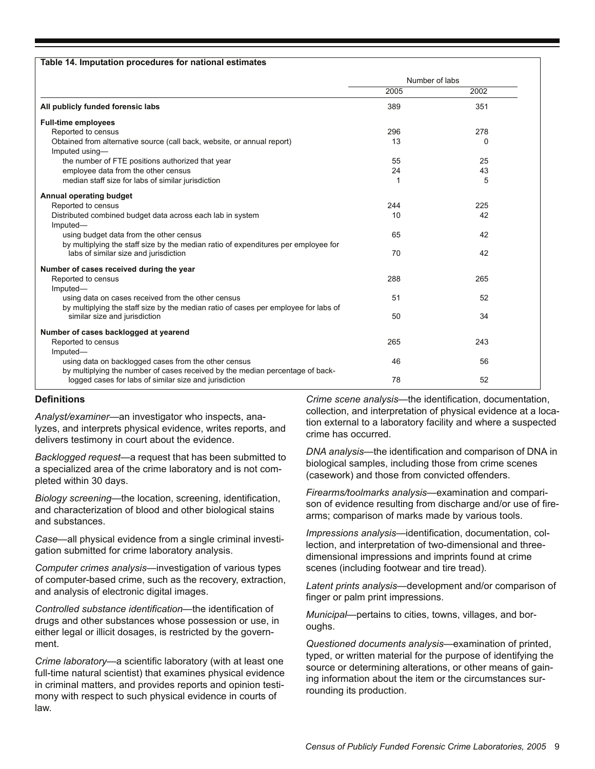| Table 14. Imputation procedures for national estimates                                                                                    |                |      |  |
|-------------------------------------------------------------------------------------------------------------------------------------------|----------------|------|--|
|                                                                                                                                           | Number of labs |      |  |
|                                                                                                                                           | 2005           | 2002 |  |
| All publicly funded forensic labs                                                                                                         | 389            | 351  |  |
| <b>Full-time employees</b>                                                                                                                |                |      |  |
| Reported to census                                                                                                                        | 296            | 278  |  |
| Obtained from alternative source (call back, website, or annual report)<br>Imputed using-                                                 | 13             | 0    |  |
| the number of FTE positions authorized that year                                                                                          | 55             | 25   |  |
| employee data from the other census                                                                                                       | 24             | 43   |  |
| median staff size for labs of similar jurisdiction                                                                                        | 1              | 5    |  |
| Annual operating budget                                                                                                                   |                |      |  |
| Reported to census                                                                                                                        | 244            | 225  |  |
| Distributed combined budget data across each lab in system<br>Imputed-                                                                    | 10             | 42   |  |
| using budget data from the other census<br>by multiplying the staff size by the median ratio of expenditures per employee for             | 65             | 42   |  |
| labs of similar size and jurisdiction                                                                                                     | 70             | 42   |  |
| Number of cases received during the year                                                                                                  |                |      |  |
| Reported to census<br>Imputed-                                                                                                            | 288            | 265  |  |
| using data on cases received from the other census<br>by multiplying the staff size by the median ratio of cases per employee for labs of | 51             | 52   |  |
| similar size and jurisdiction                                                                                                             | 50             | 34   |  |
| Number of cases backlogged at yearend                                                                                                     |                |      |  |
| Reported to census<br>Imputed-                                                                                                            | 265            | 243  |  |
| using data on backlogged cases from the other census<br>by multiplying the number of cases received by the median percentage of back-     | 46             | 56   |  |
| logged cases for labs of similar size and jurisdiction                                                                                    | 78             | 52   |  |

#### **Definitions**

*Analyst/examiner*—an investigator who inspects, analyzes, and interprets physical evidence, writes reports, and delivers testimony in court about the evidence.

*Backlogged request*—a request that has been submitted to a specialized area of the crime laboratory and is not completed within 30 days.

*Biology screening*—the location, screening, identification, and characterization of blood and other biological stains and substances.

*Case*—all physical evidence from a single criminal investigation submitted for crime laboratory analysis.

*Computer crimes analysis*—investigation of various types of computer-based crime, such as the recovery, extraction, and analysis of electronic digital images.

*Controlled substance identification*—the identification of drugs and other substances whose possession or use, in either legal or illicit dosages, is restricted by the government.

*Crime laboratory*—a scientific laboratory (with at least one full-time natural scientist) that examines physical evidence in criminal matters, and provides reports and opinion testimony with respect to such physical evidence in courts of law.

*Crime scene analysis*—the identification, documentation, collection, and interpretation of physical evidence at a location external to a laboratory facility and where a suspected crime has occurred.

*DNA analysis*—the identification and comparison of DNA in biological samples, including those from crime scenes (casework) and those from convicted offenders.

*Firearms/toolmarks analysis*—examination and comparison of evidence resulting from discharge and/or use of firearms; comparison of marks made by various tools.

*Impressions analysis*—identification, documentation, collection, and interpretation of two-dimensional and threedimensional impressions and imprints found at crime scenes (including footwear and tire tread).

*Latent prints analysis*—development and/or comparison of finger or palm print impressions.

*Municipal*—pertains to cities, towns, villages, and boroughs.

*Questioned documents analysis*—examination of printed, typed, or written material for the purpose of identifying the source or determining alterations, or other means of gaining information about the item or the circumstances surrounding its production.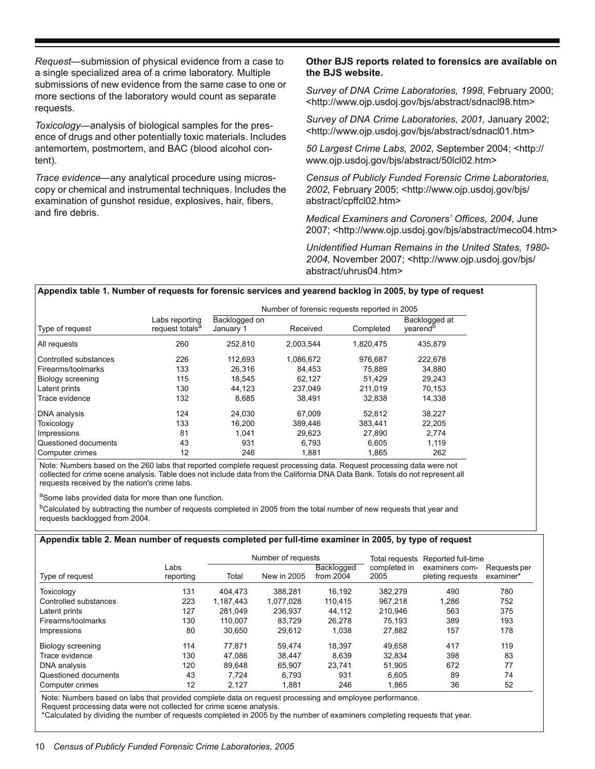*Request*—submission of physical evidence from a case to a single specialized area of a crime laboratory. Multiple submissions of new evidence from the same case to one or more sections of the laboratory would count as separate requests.

*Toxicology*—analysis of biological samples for the presence of drugs and other potentially toxic materials. Includes antemortem, postmortem, and BAC (blood alcohol content).

*Trace evidence*—any analytical procedure using microscopy or chemical and instrumental techniques. Includes the examination of gunshot residue, explosives, hair, fibers, and fire debris.

#### **Other BJS reports related to forensics are available on the BJS website.**

*Survey of DNA Crime Laboratories, 1998,* February 2000; <http://www.ojp.usdoj.gov/bjs/abstract/sdnacl98.htm>

*Survey of DNA Crime Laboratories, 2001,* January 2002; <http://www.ojp.usdoj.gov/bjs/abstract/sdnacl01.htm>

*50 Largest Crime Labs, 2002*, September 2004; <http:// www.ojp.usdoj.gov/bjs/abstract/50lcl02.htm>

*Census of Publicly Funded Forensic Crime Laboratories, 2002*, February 2005; <http://www.ojp.usdoj.gov/bjs/ abstract/cpffcl02.htm>

*Medical Examiners and Coroners' Offices, 2004*, June 2007; <http://www.ojp.usdoj.gov/bjs/abstract/meco04.htm>

*Unidentified Human Remains in the United States, 1980- 2004,* November 2007; <http://www.ojp.usdoj.gov/bjs/ abstract/uhrus04.htm>

**Appendix table 1. Number of requests for forensic services and yearend backlog in 2005, by type of request**

|                          |                                               | Number of forensic requests reported in 2005 |           |           |                                       |
|--------------------------|-----------------------------------------------|----------------------------------------------|-----------|-----------|---------------------------------------|
| Type of request          | Labs reporting<br>request totals <sup>a</sup> | Backlogged on<br>January 1                   | Received  | Completed | Backlogged at<br>yearend <sup>b</sup> |
| All requests             | 260                                           | 252.810                                      | 2,003,544 | 1,820,475 | 435,879                               |
| Controlled substances    | 226                                           | 112.693                                      | 1,086,672 | 976,687   | 222,678                               |
| Firearms/toolmarks       | 133                                           | 26.316                                       | 84,453    | 75.889    | 34,880                                |
| <b>Biology screening</b> | 115                                           | 18.545                                       | 62,127    | 51.429    | 29.243                                |
| Latent prints            | 130                                           | 44,123                                       | 237,049   | 211,019   | 70,153                                |
| Trace evidence           | 132                                           | 8,685                                        | 38,491    | 32,838    | 14,338                                |
| DNA analysis             | 124                                           | 24,030                                       | 67.009    | 52.812    | 38,227                                |
| Toxicology               | 133                                           | 16.200                                       | 389.446   | 383.441   | 22,205                                |
| Impressions              | 81                                            | 1.041                                        | 29,623    | 27.890    | 2,774                                 |
| Questioned documents     | 43                                            | 931                                          | 6,793     | 6,605     | 1,119                                 |
| Computer crimes          | 12                                            | 246                                          | 1,881     | 1.865     | 262                                   |

Note: Numbers based on the 260 labs that reported complete request processing data. Request processing data were not collected for crime scene analysis. Table does not include data from the California DNA Data Bank. Totals do not represent all requests received by the nation's crime labs.

aSome labs provided data for more than one function.

<sup>b</sup>Calculated by subtracting the number of requests completed in 2005 from the total number of new requests that year and requests backlogged from 2004.

#### **Appendix table 2. Mean number of requests completed per full-time examiner in 2005, by type of request**

|                       |                   | Number of requests |             |                                | Total requests       | Reported full-time                 |                           |
|-----------------------|-------------------|--------------------|-------------|--------------------------------|----------------------|------------------------------------|---------------------------|
| Type of request       | Labs<br>reporting | Total              | New in 2005 | <b>Backlogged</b><br>from 2004 | completed in<br>2005 | examiners com-<br>pleting requests | Requests per<br>examiner* |
| Toxicology            | 131               | 404.473            | 388.281     | 16.192                         | 382.279              | 490                                | 780                       |
| Controlled substances | 223               | 1.187.443          | 1,077,028   | 110.415                        | 967.218              | 1,286                              | 752                       |
| Latent prints         | 127               | 281.049            | 236.937     | 44.112                         | 210.946              | 563                                | 375                       |
| Firearms/toolmarks    | 130               | 110.007            | 83.729      | 26.278                         | 75.193               | 389                                | 193                       |
| Impressions           | 80                | 30.650             | 29.612      | 1.038                          | 27.882               | 157                                | 178                       |
| Biology screening     | 114               | 77.871             | 59.474      | 18.397                         | 49.658               | 417                                | 119                       |
| Trace evidence        | 130               | 47.086             | 38.447      | 8.639                          | 32.834               | 398                                | 83                        |
| DNA analysis          | 120               | 89.648             | 65.907      | 23.741                         | 51.905               | 672                                | 77                        |
| Questioned documents  | 43                | 7.724              | 6.793       | 931                            | 6.605                | 89                                 | 74                        |
| Computer crimes       | 12                | 2.127              | 1.881       | 246                            | 1,865                | 36                                 | 52                        |

Note: Numbers based on labs that provided complete data on request processing and employee performance.

Request processing data were not collected for crime scene analysis.

\*Calculated by dividing the number of requests completed in 2005 by the number of examiners completing requests that year.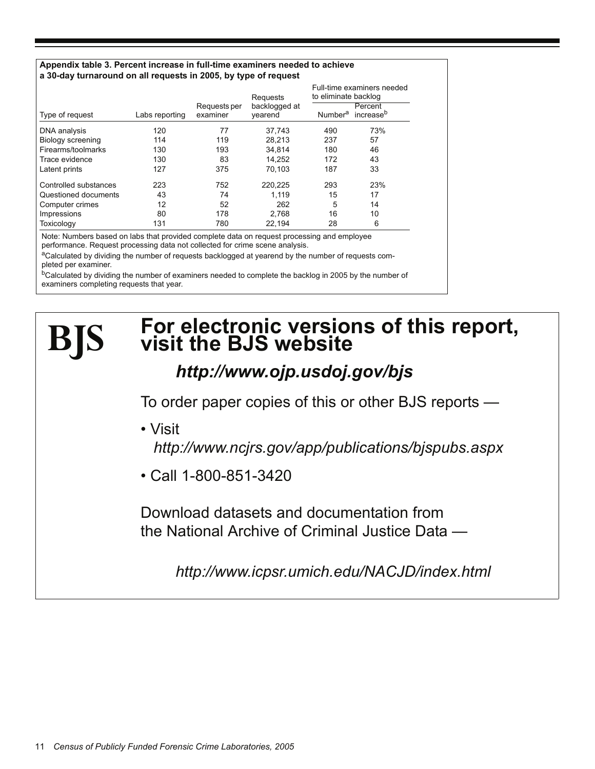#### **Appendix table 3. Percent increase in full-time examiners needed to achieve a 30-day turnaround on all requests in 2005, by type of request**

|                       |                |                          | Requests                 | Full-time examiners needed<br>to eliminate backlog |                                  |  |
|-----------------------|----------------|--------------------------|--------------------------|----------------------------------------------------|----------------------------------|--|
| Type of request       | Labs reporting | Requests per<br>examiner | backlogged at<br>vearend | Number <sup>a</sup>                                | Percent<br>increase <sup>b</sup> |  |
| DNA analysis          | 120            | 77                       | 37,743                   | 490                                                | 73%                              |  |
| Biology screening     | 114            | 119                      | 28.213                   | 237                                                | 57                               |  |
| Firearms/toolmarks    | 130            | 193                      | 34.814                   | 180                                                | 46                               |  |
| Trace evidence        | 130            | 83                       | 14.252                   | 172                                                | 43                               |  |
| Latent prints         | 127            | 375                      | 70.103                   | 187                                                | 33                               |  |
| Controlled substances | 223            | 752                      | 220,225                  | 293                                                | 23%                              |  |
| Questioned documents  | 43             | 74                       | 1.119                    | 15                                                 | 17                               |  |
| Computer crimes       | 12             | 52                       | 262                      | 5                                                  | 14                               |  |
| Impressions           | 80             | 178                      | 2.768                    | 16                                                 | 10                               |  |
| Toxicology            | 131            | 780                      | 22,194                   | 28                                                 | 6                                |  |

Note: Numbers based on labs that provided complete data on request processing and employee performance. Request processing data not collected for crime scene analysis.

aCalculated by dividing the number of requests backlogged at yearend by the number of requests completed per examiner.

<sup>b</sup>Calculated by dividing the number of examiners needed to complete the backlog in 2005 by the number of examiners completing requests that year.